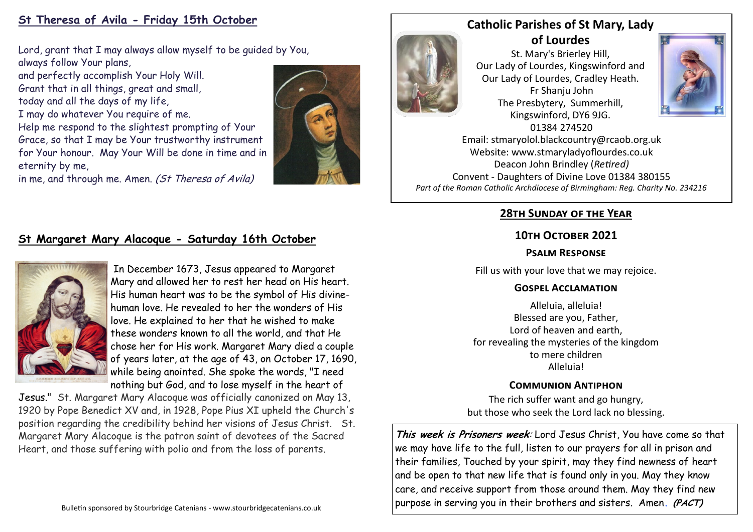# **St Theresa of Avila - Friday 15th October**

Lord, grant that I may always allow myself to be guided by You, always follow Your plans,

and perfectly accomplish Your Holy Will. Grant that in all things, great and small, today and all the days of my life,

I may do whatever You require of me.

Help me respond to the slightest prompting of Your Grace, so that I may be Your trustworthy instrument for Your honour. May Your Will be done in time and in eternity by me,

in me, and through me. Amen. (St Theresa of Avila)



# **Catholic Parishes of St Mary, Lady**

**of Lourdes**  St. Mary's Brierley Hill, Our Lady of Lourdes, Kingswinford and Our Lady of Lourdes, Cradley Heath. Fr Shanju John The Presbytery, Summerhill, Kingswinford, DY6 9JG. 01384 274520



Email: stmaryolol.blackcountry@rcaob.org.uk Website: www.stmaryladyoflourdes.co.uk Deacon John Brindley (*Retired)* Convent - Daughters of Divine Love 01384 380155 *Part of the Roman Catholic Archdiocese of Birmingham: Reg. Charity No. 234216*

## **28th Sunday of the Year**

#### **10th October 2021**

#### **Psalm Response**

Fill us with your love that we may rejoice.

#### **Gospel Acclamation**

Alleluia, alleluia! Blessed are you, Father, Lord of heaven and earth, for revealing the mysteries of the kingdom to mere children Alleluia!

### **Communion Antiphon**

The rich suffer want and go hungry, but those who seek the Lord lack no blessing.

**This week is Prisoners week**: Lord Jesus Christ, You have come so that we may have life to the full, listen to our prayers for all in prison and their families, Touched by your spirit, may they find newness of heart and be open to that new life that is found only in you. May they know care, and receive support from those around them. May they find new purpose in serving you in their brothers and sisters. Amen**. (PACT)**

# **St Margaret Mary Alacoque - Saturday 16th October**



In December 1673, Jesus appeared to Margaret Mary and allowed her to rest her head on His heart. His human heart was to be the symbol of His divinehuman love. He revealed to her the wonders of His love. He explained to her that he wished to make these wonders known to all the world, and that He chose her for His work. Margaret Mary died a couple of years later, at the age of 43, on October 17, 1690, while being anointed. She spoke the words, "I need nothing but God, and to lose myself in the heart of

Jesus." St. Margaret Mary Alacoque was officially canonized on May 13, 1920 by Pope Benedict XV and, in 1928, Pope Pius XI upheld the Church's position regarding the credibility behind her visions of Jesus Christ. St. Margaret Mary Alacoque is the patron saint of devotees of the Sacred Heart, and those suffering with polio and from the loss of parents.